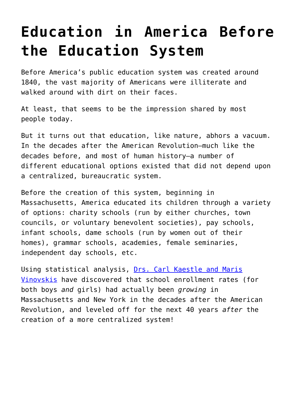## **[Education in America Before](https://intellectualtakeout.org/2016/12/education-in-america-before-the-education-system/) [the Education System](https://intellectualtakeout.org/2016/12/education-in-america-before-the-education-system/)**

Before America's public education system was created around 1840, the vast majority of Americans were illiterate and walked around with dirt on their faces.

At least, that seems to be the impression shared by most people today.

But it turns out that education, like nature, abhors a vacuum. In the decades after the American Revolution—much like the decades before, and most of human history—a number of different educational options existed that did not depend upon a centralized, bureaucratic system.

Before the creation of this system, beginning in Massachusetts, America educated its children through a variety of options: charity schools (run by either churches, town councils, or voluntary benevolent societies), pay schools, infant schools, dame schools (run by women out of their homes), grammar schools, academies, female seminaries, independent day schools, etc.

Using statistical analysis, [Drs. Carl Kaestle and Maris](https://www.amazon.com/Education-Social-Change-Nineteenth-Century-Massachusetts/dp/0521102359/ref=as_li_ss_tl?ie=UTF8&qid=1482428212&sr=8-1&keywords=kaestle+vinovskis&linkCode=sl1&tag=intelltakeo0d-20&linkId=a4abf33cd2ec9ede4ccc26c55b51c3b0) [Vinovskis](https://www.amazon.com/Education-Social-Change-Nineteenth-Century-Massachusetts/dp/0521102359/ref=as_li_ss_tl?ie=UTF8&qid=1482428212&sr=8-1&keywords=kaestle+vinovskis&linkCode=sl1&tag=intelltakeo0d-20&linkId=a4abf33cd2ec9ede4ccc26c55b51c3b0) have discovered that school enrollment rates (for both boys *and* girls) had actually been *growing* in Massachusetts and New York in the decades after the American Revolution, and leveled off for the next 40 years *after* the creation of a more centralized system!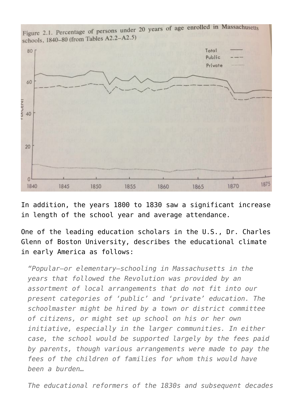

Figure 2.1. Percentage of persons under 20 years of age enrolled in Massachusetts

In addition, the years 1800 to 1830 saw a significant increase in length of the school year and average attendance.

One of the leading education scholars in the U.S., Dr. Charles Glenn of Boston University, describes the educational climate in early America as follows:

*"Popular—or elementary—schooling in Massachusetts in the years that followed the Revolution was provided by an assortment of local arrangements that do not fit into our present categories of 'public' and 'private' education. The schoolmaster might be hired by a town or district committee of citizens, or might set up school on his or her own initiative, especially in the larger communities. In either case, the school would be supported largely by the fees paid by parents, though various arrangements were made to pay the fees of the children of families for whom this would have been a burden…*

*The educational reformers of the 1830s and subsequent decades*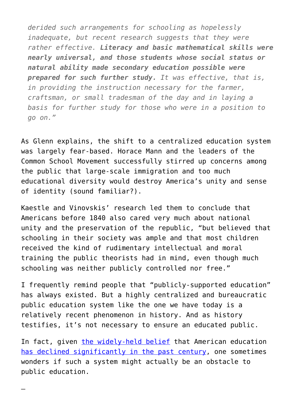*derided such arrangements for schooling as hopelessly inadequate, but recent research suggests that they were rather effective. Literacy and basic mathematical skills were nearly universal, and those students whose social status or natural ability made secondary education possible were prepared for such further study. It was effective, that is, in providing the instruction necessary for the farmer, craftsman, or small tradesman of the day and in laying a basis for further study for those who were in a position to go on."*

As Glenn explains, the shift to a centralized education system was largely fear-based. Horace Mann and the leaders of the Common School Movement successfully stirred up concerns among the public that large-scale immigration and too much educational diversity would destroy America's unity and sense of identity (sound familiar?).

Kaestle and Vinovskis' research led them to conclude that Americans before 1840 also cared very much about national unity and the preservation of the republic, "but believed that schooling in their society was ample and that most children received the kind of rudimentary intellectual and moral training the public theorists had in mind, even though much schooling was neither publicly controlled nor free."

I frequently remind people that "publicly-supported education" has always existed. But a highly centralized and bureaucratic public education system like the one we have today is a relatively recent phenomenon in history. And as history testifies, it's not necessary to ensure an educated public.

In fact, given [the widely-held belief](https://www.intellectualtakeout.org/blog/more-evidence-americas-education-system-getting-worse) that American education [has declined significantly in the past century](https://www.intellectualtakeout.org/blog/middle-school-reading-lists-100-years-ago-vs-today), one sometimes wonders if such a system might actually be an obstacle to public education.

—